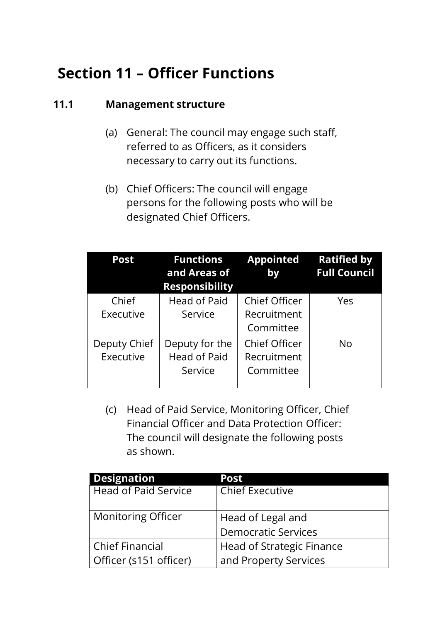# **Section 11 – Officer Functions**

#### **11.1 Management structure**

- (a) General: The council may engage such staff, referred to as Officers, as it considers necessary to carry out its functions.
- (b) Chief Officers: The council will engage persons for the following posts who will be designated Chief Officers.

| <b>Post</b>               | <b>Functions</b><br>and Areas of<br><b>Responsibility</b> | <b>Appointed</b><br>by                           | <b>Ratified by</b><br><b>Full Council</b> |
|---------------------------|-----------------------------------------------------------|--------------------------------------------------|-------------------------------------------|
| Chief<br>Executive        | <b>Head of Paid</b><br>Service                            | Chief Officer<br>Recruitment<br>Committee        | Yes                                       |
| Deputy Chief<br>Executive | Deputy for the<br><b>Head of Paid</b><br>Service          | <b>Chief Officer</b><br>Recruitment<br>Committee | No                                        |

(c) Head of Paid Service, Monitoring Officer, Chief Financial Officer and Data Protection Officer: The council will designate the following posts as shown.

| <b>Designation</b>          | <b>Post</b>                |  |
|-----------------------------|----------------------------|--|
| <b>Head of Paid Service</b> | <b>Chief Executive</b>     |  |
|                             |                            |  |
| <b>Monitoring Officer</b>   | Head of Legal and          |  |
|                             | <b>Democratic Services</b> |  |
| <b>Chief Financial</b>      | Head of Strategic Finance  |  |
| Officer (s151 officer)      | and Property Services      |  |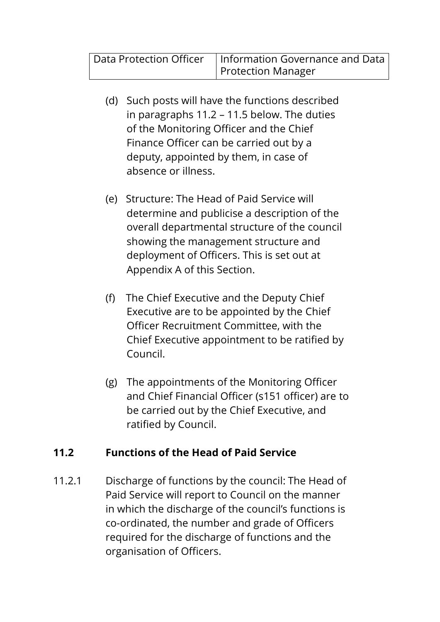| Data Protection Officer   Information Governance and Data |
|-----------------------------------------------------------|
| <b>Protection Manager</b>                                 |

- (d) Such posts will have the functions described in paragraphs 11.2 – 11.5 below. The duties of the Monitoring Officer and the Chief Finance Officer can be carried out by a deputy, appointed by them, in case of absence or illness.
- (e) Structure: The Head of Paid Service will determine and publicise a description of the overall departmental structure of the council showing the management structure and deployment of Officers. This is set out at Appendix A of this Section.
- (f) The Chief Executive and the Deputy Chief Executive are to be appointed by the Chief Officer Recruitment Committee, with the Chief Executive appointment to be ratified by Council.
- (g) The appointments of the Monitoring Officer and Chief Financial Officer (s151 officer) are to be carried out by the Chief Executive, and ratified by Council.

### **11.2 Functions of the Head of Paid Service**

11.2.1 Discharge of functions by the council: The Head of Paid Service will report to Council on the manner in which the discharge of the council's functions is co-ordinated, the number and grade of Officers required for the discharge of functions and the organisation of Officers.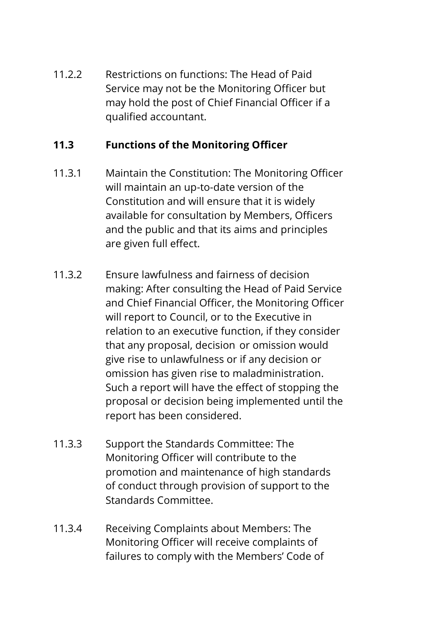11.2.2 Restrictions on functions: The Head of Paid Service may not be the Monitoring Officer but may hold the post of Chief Financial Officer if a qualified accountant.

## **11.3 Functions of the Monitoring Officer**

- 11.3.1 Maintain the Constitution: The Monitoring Officer will maintain an up-to-date version of the Constitution and will ensure that it is widely available for consultation by Members, Officers and the public and that its aims and principles are given full effect.
- 11.3.2 Ensure lawfulness and fairness of decision making: After consulting the Head of Paid Service and Chief Financial Officer, the Monitoring Officer will report to Council, or to the Executive in relation to an executive function, if they consider that any proposal, decision or omission would give rise to unlawfulness or if any decision or omission has given rise to maladministration. Such a report will have the effect of stopping the proposal or decision being implemented until the report has been considered.
- 11.3.3 Support the Standards Committee: The Monitoring Officer will contribute to the promotion and maintenance of high standards of conduct through provision of support to the Standards Committee.
- 11.3.4 Receiving Complaints about Members: The Monitoring Officer will receive complaints of failures to comply with the Members' Code of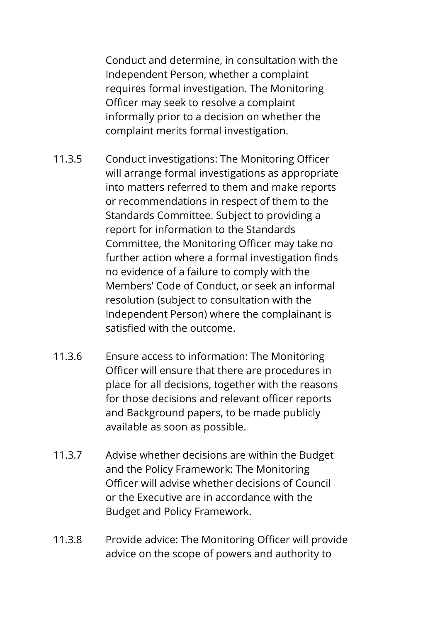Conduct and determine, in consultation with the Independent Person, whether a complaint requires formal investigation. The Monitoring Officer may seek to resolve a complaint informally prior to a decision on whether the complaint merits formal investigation.

- 11.3.5 Conduct investigations: The Monitoring Officer will arrange formal investigations as appropriate into matters referred to them and make reports or recommendations in respect of them to the Standards Committee. Subject to providing a report for information to the Standards Committee, the Monitoring Officer may take no further action where a formal investigation finds no evidence of a failure to comply with the Members' Code of Conduct, or seek an informal resolution (subject to consultation with the Independent Person) where the complainant is satisfied with the outcome.
- 11.3.6 Ensure access to information: The Monitoring Officer will ensure that there are procedures in place for all decisions, together with the reasons for those decisions and relevant officer reports and Background papers, to be made publicly available as soon as possible.
- 11.3.7 Advise whether decisions are within the Budget and the Policy Framework: The Monitoring Officer will advise whether decisions of Council or the Executive are in accordance with the Budget and Policy Framework.
- 11.3.8 Provide advice: The Monitoring Officer will provide advice on the scope of powers and authority to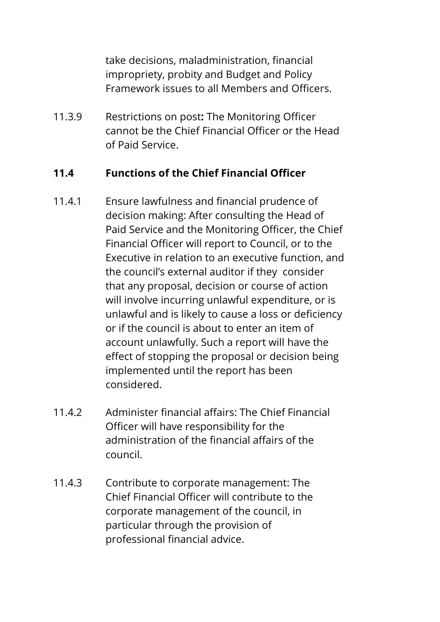take decisions, maladministration, financial impropriety, probity and Budget and Policy Framework issues to all Members and Officers.

11.3.9 Restrictions on post**:** The Monitoring Officer cannot be the Chief Financial Officer or the Head of Paid Service.

### **11.4 Functions of the Chief Financial Officer**

- 11.4.1 Ensure lawfulness and financial prudence of decision making: After consulting the Head of Paid Service and the Monitoring Officer, the Chief Financial Officer will report to Council, or to the Executive in relation to an executive function, and the council's external auditor if they consider that any proposal, decision or course of action will involve incurring unlawful expenditure, or is unlawful and is likely to cause a loss or deficiency or if the council is about to enter an item of account unlawfully. Such a report will have the effect of stopping the proposal or decision being implemented until the report has been considered.
- 11.4.2 Administer financial affairs: The Chief Financial Officer will have responsibility for the administration of the financial affairs of the council.
- 11.4.3 Contribute to corporate management: The Chief Financial Officer will contribute to the corporate management of the council, in particular through the provision of professional financial advice.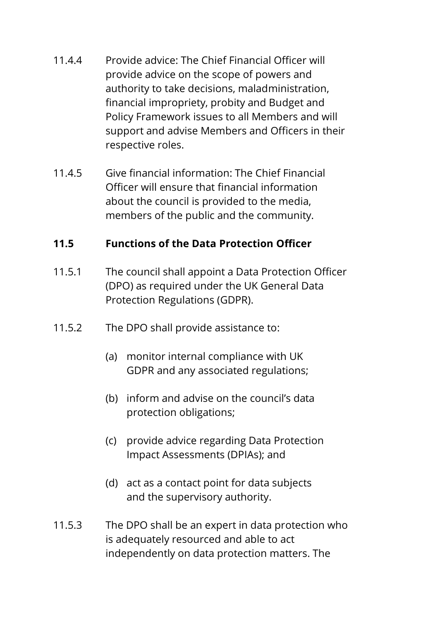- 11.4.4 Provide advice: The Chief Financial Officer will provide advice on the scope of powers and authority to take decisions, maladministration, financial impropriety, probity and Budget and Policy Framework issues to all Members and will support and advise Members and Officers in their respective roles.
- 11.4.5 Give financial information: The Chief Financial Officer will ensure that financial information about the council is provided to the media, members of the public and the community.

#### **11.5 Functions of the Data Protection Officer**

- 11.5.1 The council shall appoint a Data Protection Officer (DPO) as required under the UK General Data Protection Regulations (GDPR).
- 11.5.2 The DPO shall provide assistance to:
	- (a) monitor internal compliance with UK GDPR and any associated regulations;
	- (b) inform and advise on the council's data protection obligations;
	- (c) provide advice regarding Data Protection Impact Assessments (DPIAs); and
	- (d) act as a contact point for data subjects and the supervisory authority.
- 11.5.3 The DPO shall be an expert in data protection who is adequately resourced and able to act independently on data protection matters. The